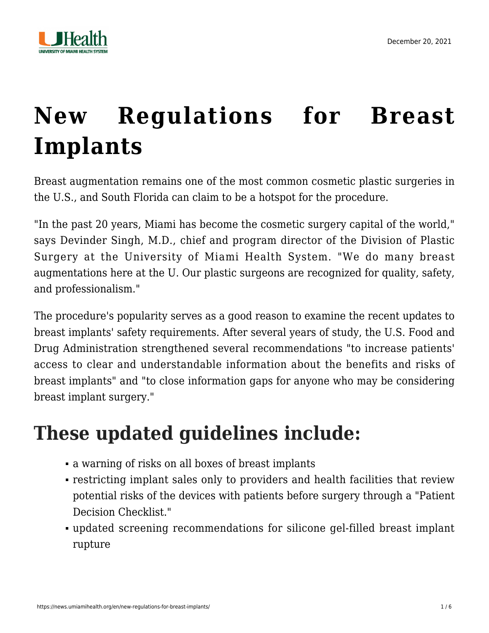

# **[New Regulations for Breast](https://news.umiamihealth.org/en/new-regulations-for-breast-implants/) [Implants](https://news.umiamihealth.org/en/new-regulations-for-breast-implants/)**

Breast augmentation remains one of the most common cosmetic plastic surgeries in the U.S., and South Florida can claim to be a hotspot for the procedure.

"In the past 20 years, Miami has become the cosmetic surgery capital of the world," says Devinder Singh, M.D., chief and program director of the Division of Plastic Surgery at the University of Miami Health System. "We do many breast augmentations here at the U. Our plastic surgeons are recognized for quality, safety, and professionalism."

The procedure's popularity serves as a good reason to examine the recent updates to breast implants' safety requirements. After several years of study, the U.S. Food and Drug Administration strengthened several recommendations "to increase patients' access to clear and understandable information about the benefits and risks of breast implants" and "to close information gaps for anyone who may be considering breast implant surgery."

### **These updated guidelines include:**

- a warning of risks on all boxes of breast implants
- restricting implant sales only to providers and health facilities that review potential risks of the devices with patients before surgery through a "Patient Decision Checklist."
- updated screening recommendations for silicone gel-filled breast implant rupture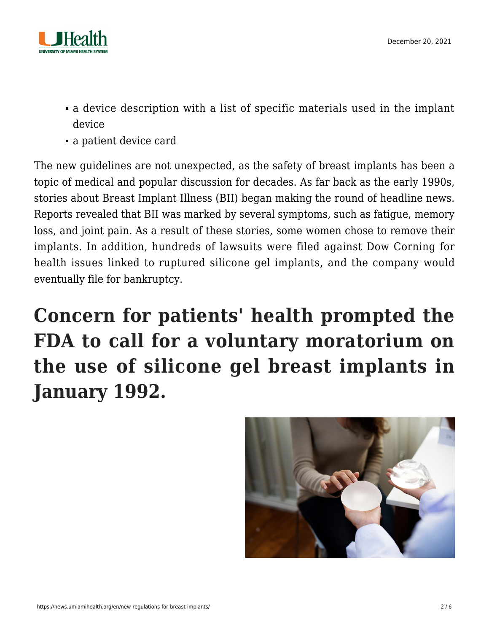

- a device description with a list of specific materials used in the implant device
- a patient device card

The new guidelines are not unexpected, as the safety of breast implants has been a topic of medical and popular discussion for decades. As far back as the early 1990s, stories about Breast Implant Illness (BII) began making the round of headline news. Reports revealed that BII was marked by several symptoms, such as fatigue, memory loss, and joint pain. As a result of these stories, some women chose to remove their implants. In addition, hundreds of lawsuits were filed against Dow Corning for health issues linked to ruptured silicone gel implants, and the company would eventually file for bankruptcy.

## **Concern for patients' health prompted the FDA to call for a voluntary moratorium on the use of silicone gel breast implants in January 1992.**

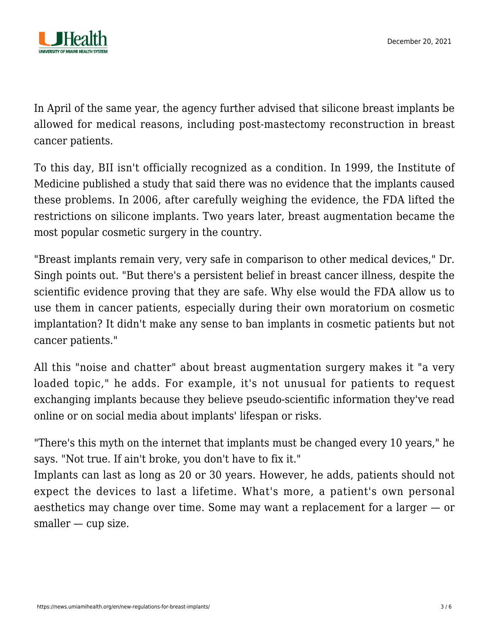

In April of the same year, the agency further advised that silicone breast implants be allowed for medical reasons, including post-mastectomy reconstruction in breast cancer patients.

To this day, BII isn't officially recognized as a condition. In 1999, the Institute of Medicine published a study that said there was no evidence that the implants caused these problems. In 2006, after carefully weighing the evidence, the FDA lifted the restrictions on silicone implants. Two years later, breast augmentation became the most popular cosmetic surgery in the country.

"Breast implants remain very, very safe in comparison to other medical devices," Dr. Singh points out. "But there's a persistent belief in breast cancer illness, despite the scientific evidence proving that they are safe. Why else would the FDA allow us to use them in cancer patients, especially during their own moratorium on cosmetic implantation? It didn't make any sense to ban implants in cosmetic patients but not cancer patients."

All this "noise and chatter" about breast augmentation surgery makes it "a very loaded topic," he adds. For example, it's not unusual for patients to request exchanging implants because they believe pseudo-scientific information they've read online or on social media about implants' lifespan or risks.

"There's this myth on the internet that implants must be changed every 10 years," he says. "Not true. If ain't broke, you don't have to fix it."

Implants can last as long as 20 or 30 years. However, he adds, patients should not expect the devices to last a lifetime. What's more, a patient's own personal aesthetics may change over time. Some may want a replacement for a larger — or smaller — cup size.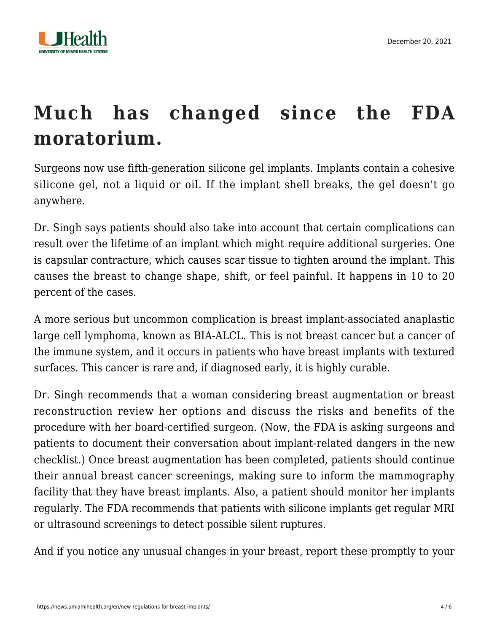

### **Much has changed since the FDA moratorium.**

Surgeons now use fifth-generation silicone gel implants. Implants contain a cohesive silicone gel, not a liquid or oil. If the implant shell breaks, the gel doesn't go anywhere.

Dr. Singh says patients should also take into account that certain complications can result over the lifetime of an implant which might require additional surgeries. One is capsular contracture, which causes scar tissue to tighten around the implant. This causes the breast to change shape, shift, or feel painful. It happens in 10 to 20 percent of the cases.

A more serious but uncommon complication is breast implant-associated anaplastic large cell lymphoma, known as BIA-ALCL. This is not breast cancer but a cancer of the immune system, and it occurs in patients who have breast implants with textured surfaces. This cancer is rare and, if diagnosed early, it is highly curable.

Dr. Singh recommends that a woman considering breast augmentation or breast reconstruction review her options and discuss the risks and benefits of the procedure with her board-certified surgeon. (Now, the FDA is asking surgeons and patients to document their conversation about implant-related dangers in the new checklist.) Once breast augmentation has been completed, patients should continue their annual breast cancer screenings, making sure to inform the mammography facility that they have breast implants. Also, a patient should monitor her implants regularly. The FDA recommends that patients with silicone implants get regular MRI or ultrasound screenings to detect possible silent ruptures.

And if you notice any unusual changes in your breast, report these promptly to your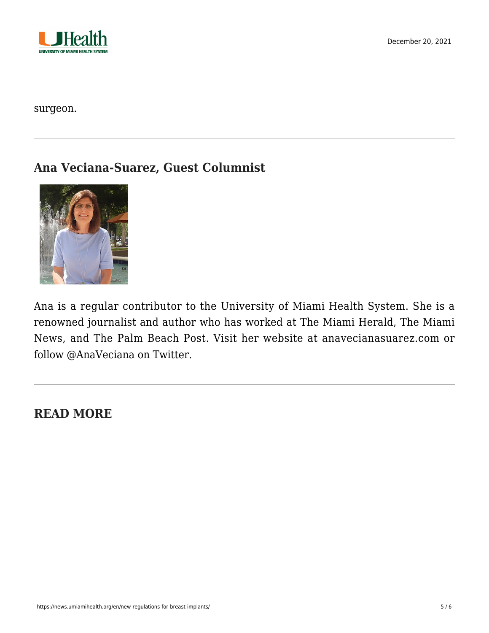

surgeon.

#### **Ana Veciana-Suarez, Guest Columnist**



Ana is a regular contributor to the University of Miami Health System. She is a renowned journalist and author who has worked at The Miami Herald, The Miami News, and The Palm Beach Post. Visit her website at [anavecianasuarez.com](https://www.anavecianasuarez.com/) or follow [@AnaVeciana](https://twitter.com/AnaVeciana) on Twitter.

#### **READ MORE**